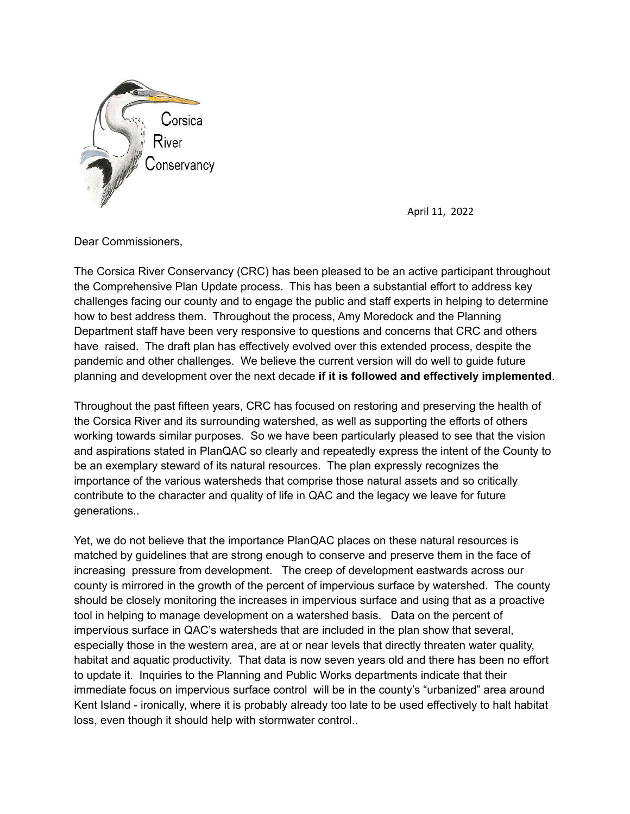

April 11, 2022

Dear Commissioners,

The Corsica River Conservancy (CRC) has been pleased to be an active participant throughout the Comprehensive Plan Update process. This has been a substantial effort to address key challenges facing our county and to engage the public and staff experts in helping to determine how to best address them. Throughout the process, Amy Moredock and the Planning Department staff have been very responsive to questions and concerns that CRC and others have raised. The draft plan has effectively evolved over this extended process, despite the pandemic and other challenges. We believe the current version will do well to guide future planning and development over the next decade **if it is followed and effectively implemented**.

Throughout the past fifteen years, CRC has focused on restoring and preserving the health of the Corsica River and its surrounding watershed, as well as supporting the efforts of others working towards similar purposes. So we have been particularly pleased to see that the vision and aspirations stated in PlanQAC so clearly and repeatedly express the intent of the County to be an exemplary steward of its natural resources. The plan expressly recognizes the importance of the various watersheds that comprise those natural assets and so critically contribute to the character and quality of life in QAC and the legacy we leave for future generations..

Yet, we do not believe that the importance PlanQAC places on these natural resources is matched by guidelines that are strong enough to conserve and preserve them in the face of increasing pressure from development. The creep of development eastwards across our county is mirrored in the growth of the percent of impervious surface by watershed. The county should be closely monitoring the increases in impervious surface and using that as a proactive tool in helping to manage development on a watershed basis. Data on the percent of impervious surface in QAC's watersheds that are included in the plan show that several, especially those in the western area, are at or near levels that directly threaten water quality, habitat and aquatic productivity. That data is now seven years old and there has been no effort to update it. Inquiries to the Planning and Public Works departments indicate that their immediate focus on impervious surface control will be in the county's "urbanized" area around Kent Island - ironically, where it is probably already too late to be used effectively to halt habitat loss, even though it should help with stormwater control..